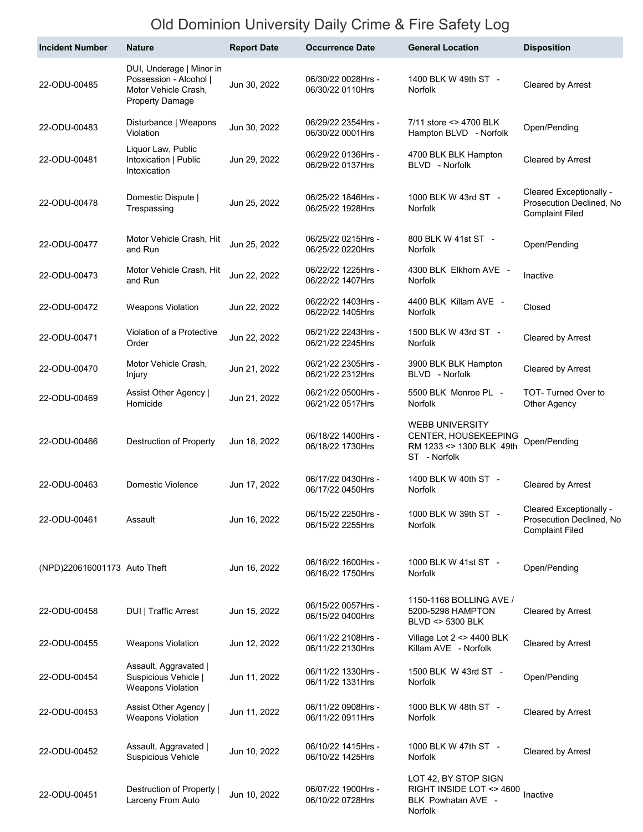## Old Dominion University Daily Crime & Fire Safety Log

| <b>Incident Number</b>       | <b>Nature</b>                                                                                        | <b>Report Date</b> | <b>Occurrence Date</b>                 | <b>General Location</b>                                                                    | <b>Disposition</b>                                                            |
|------------------------------|------------------------------------------------------------------------------------------------------|--------------------|----------------------------------------|--------------------------------------------------------------------------------------------|-------------------------------------------------------------------------------|
| 22-ODU-00485                 | DUI, Underage   Minor in<br>Possession - Alcohol  <br>Motor Vehicle Crash,<br><b>Property Damage</b> | Jun 30, 2022       | 06/30/22 0028Hrs -<br>06/30/22 0110Hrs | 1400 BLK W 49th ST -<br>Norfolk                                                            | Cleared by Arrest                                                             |
| 22-ODU-00483                 | Disturbance   Weapons<br>Violation                                                                   | Jun 30, 2022       | 06/29/22 2354Hrs -<br>06/30/22 0001Hrs | 7/11 store <> 4700 BLK<br>Hampton BLVD - Norfolk                                           | Open/Pending                                                                  |
| 22-ODU-00481                 | Liquor Law, Public<br>Intoxication   Public<br>Intoxication                                          | Jun 29, 2022       | 06/29/22 0136Hrs -<br>06/29/22 0137Hrs | 4700 BLK BLK Hampton<br>BLVD - Norfolk                                                     | Cleared by Arrest                                                             |
| 22-ODU-00478                 | Domestic Dispute  <br>Trespassing                                                                    | Jun 25, 2022       | 06/25/22 1846Hrs -<br>06/25/22 1928Hrs | 1000 BLK W 43rd ST -<br><b>Norfolk</b>                                                     | Cleared Exceptionally -<br>Prosecution Declined, No<br><b>Complaint Filed</b> |
| 22-ODU-00477                 | Motor Vehicle Crash, Hit<br>and Run                                                                  | Jun 25, 2022       | 06/25/22 0215Hrs -<br>06/25/22 0220Hrs | 800 BLK W 41st ST -<br>Norfolk                                                             | Open/Pending                                                                  |
| 22-ODU-00473                 | Motor Vehicle Crash, Hit<br>and Run                                                                  | Jun 22, 2022       | 06/22/22 1225Hrs -<br>06/22/22 1407Hrs | 4300 BLK Elkhorn AVE -<br><b>Norfolk</b>                                                   | Inactive                                                                      |
| 22-ODU-00472                 | <b>Weapons Violation</b>                                                                             | Jun 22, 2022       | 06/22/22 1403Hrs -<br>06/22/22 1405Hrs | 4400 BLK Killam AVE -<br><b>Norfolk</b>                                                    | Closed                                                                        |
| 22-ODU-00471                 | Violation of a Protective<br>Order                                                                   | Jun 22, 2022       | 06/21/22 2243Hrs -<br>06/21/22 2245Hrs | 1500 BLK W 43rd ST -<br>Norfolk                                                            | Cleared by Arrest                                                             |
| 22-ODU-00470                 | Motor Vehicle Crash,<br>Injury                                                                       | Jun 21, 2022       | 06/21/22 2305Hrs -<br>06/21/22 2312Hrs | 3900 BLK BLK Hampton<br>BLVD - Norfolk                                                     | Cleared by Arrest                                                             |
| 22-ODU-00469                 | Assist Other Agency  <br>Homicide                                                                    | Jun 21, 2022       | 06/21/22 0500Hrs -<br>06/21/22 0517Hrs | 5500 BLK Monroe PL -<br><b>Norfolk</b>                                                     | TOT-Turned Over to<br>Other Agency                                            |
| 22-ODU-00466                 | Destruction of Property                                                                              | Jun 18, 2022       | 06/18/22 1400Hrs -<br>06/18/22 1730Hrs | <b>WEBB UNIVERSITY</b><br>CENTER, HOUSEKEEPING<br>RM 1233 <> 1300 BLK 49th<br>ST - Norfolk | Open/Pending                                                                  |
| 22-ODU-00463                 | Domestic Violence                                                                                    | Jun 17, 2022       | 06/17/22 0430Hrs -<br>06/17/22 0450Hrs | 1400 BLK W 40th ST -<br>Norfolk                                                            | Cleared by Arrest                                                             |
| 22-ODU-00461                 | Assault                                                                                              | Jun 16, 2022       | 06/15/22 2250Hrs -<br>06/15/22 2255Hrs | 1000 BLK W 39th ST -<br>Norfolk                                                            | Cleared Exceptionally -<br>Prosecution Declined, No<br><b>Complaint Filed</b> |
| (NPD)220616001173 Auto Theft |                                                                                                      | Jun 16, 2022       | 06/16/22 1600Hrs -<br>06/16/22 1750Hrs | 1000 BLK W 41st ST -<br>Norfolk                                                            | Open/Pending                                                                  |
| 22-ODU-00458                 | <b>DUI</b>   Traffic Arrest                                                                          | Jun 15, 2022       | 06/15/22 0057Hrs -<br>06/15/22 0400Hrs | 1150-1168 BOLLING AVE /<br>5200-5298 HAMPTON<br>BLVD <> 5300 BLK                           | Cleared by Arrest                                                             |
| 22-ODU-00455                 | <b>Weapons Violation</b>                                                                             | Jun 12, 2022       | 06/11/22 2108Hrs -<br>06/11/22 2130Hrs | Village Lot 2 <> 4400 BLK<br>Killam AVE - Norfolk                                          | Cleared by Arrest                                                             |
| 22-ODU-00454                 | Assault, Aggravated  <br>Suspicious Vehicle  <br><b>Weapons Violation</b>                            | Jun 11, 2022       | 06/11/22 1330Hrs -<br>06/11/22 1331Hrs | 1500 BLK W 43rd ST -<br>Norfolk                                                            | Open/Pending                                                                  |
| 22-ODU-00453                 | Assist Other Agency  <br><b>Weapons Violation</b>                                                    | Jun 11, 2022       | 06/11/22 0908Hrs -<br>06/11/22 0911Hrs | 1000 BLK W 48th ST -<br>Norfolk                                                            | Cleared by Arrest                                                             |
| 22-ODU-00452                 | Assault, Aggravated  <br><b>Suspicious Vehicle</b>                                                   | Jun 10, 2022       | 06/10/22 1415Hrs -<br>06/10/22 1425Hrs | 1000 BLK W 47th ST -<br>Norfolk                                                            | Cleared by Arrest                                                             |
| 22-ODU-00451                 | Destruction of Property  <br>Larceny From Auto                                                       | Jun 10, 2022       | 06/07/22 1900Hrs -<br>06/10/22 0728Hrs | LOT 42, BY STOP SIGN<br>RIGHT INSIDE LOT <> 4600<br>BLK Powhatan AVE -<br>Norfolk          | Inactive                                                                      |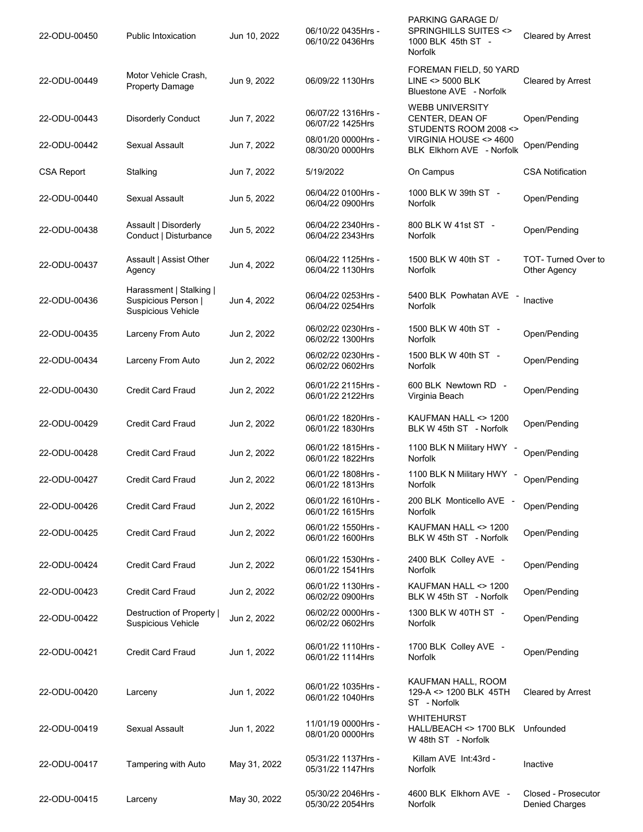| 22-ODU-00450      | <b>Public Intoxication</b>                                           | Jun 10, 2022 | 06/10/22 0435Hrs -<br>06/10/22 0436Hrs | PARKING GARAGE D/<br>SPRINGHILLS SUITES <><br>1000 BLK 45th ST -<br><b>Norfolk</b> | Cleared by Arrest                            |
|-------------------|----------------------------------------------------------------------|--------------|----------------------------------------|------------------------------------------------------------------------------------|----------------------------------------------|
| 22-ODU-00449      | Motor Vehicle Crash.<br>Property Damage                              | Jun 9, 2022  | 06/09/22 1130Hrs                       | FOREMAN FIELD, 50 YARD<br>LINE <> 5000 BLK<br>Bluestone AVE - Norfolk              | Cleared by Arrest                            |
| 22-ODU-00443      | <b>Disorderly Conduct</b>                                            | Jun 7, 2022  | 06/07/22 1316Hrs -<br>06/07/22 1425Hrs | <b>WEBB UNIVERSITY</b><br>CENTER, DEAN OF<br>STUDENTS ROOM 2008 <>                 | Open/Pending                                 |
| 22-ODU-00442      | <b>Sexual Assault</b>                                                | Jun 7, 2022  | 08/01/20 0000Hrs -<br>08/30/20 0000Hrs | VIRGINIA HOUSE <> 4600<br>BLK Elkhorn AVE - Norfolk                                | Open/Pending                                 |
| <b>CSA Report</b> | Stalking                                                             | Jun 7, 2022  | 5/19/2022                              | On Campus                                                                          | <b>CSA Notification</b>                      |
| 22-ODU-00440      | Sexual Assault                                                       | Jun 5, 2022  | 06/04/22 0100Hrs -<br>06/04/22 0900Hrs | 1000 BLK W 39th ST -<br><b>Norfolk</b>                                             | Open/Pending                                 |
| 22-ODU-00438      | Assault   Disorderly<br>Conduct   Disturbance                        | Jun 5, 2022  | 06/04/22 2340Hrs -<br>06/04/22 2343Hrs | 800 BLK W 41st ST -<br>Norfolk                                                     | Open/Pending                                 |
| 22-ODU-00437      | Assault   Assist Other<br>Agency                                     | Jun 4, 2022  | 06/04/22 1125Hrs -<br>06/04/22 1130Hrs | 1500 BLK W 40th ST -<br><b>Norfolk</b>                                             | TOT-Turned Over to<br><b>Other Agency</b>    |
| 22-ODU-00436      | Harassment   Stalking  <br>Suspicious Person  <br>Suspicious Vehicle | Jun 4, 2022  | 06/04/22 0253Hrs -<br>06/04/22 0254Hrs | 5400 BLK Powhatan AVE<br><b>Norfolk</b>                                            | Inactive                                     |
| 22-ODU-00435      | Larceny From Auto                                                    | Jun 2, 2022  | 06/02/22 0230Hrs -<br>06/02/22 1300Hrs | 1500 BLK W 40th ST -<br>Norfolk                                                    | Open/Pending                                 |
| 22-ODU-00434      | Larceny From Auto                                                    | Jun 2, 2022  | 06/02/22 0230Hrs -<br>06/02/22 0602Hrs | 1500 BLK W 40th ST -<br><b>Norfolk</b>                                             | Open/Pending                                 |
| 22-ODU-00430      | <b>Credit Card Fraud</b>                                             | Jun 2, 2022  | 06/01/22 2115Hrs -<br>06/01/22 2122Hrs | 600 BLK Newtown RD -<br>Virginia Beach                                             | Open/Pending                                 |
| 22-ODU-00429      | <b>Credit Card Fraud</b>                                             | Jun 2, 2022  | 06/01/22 1820Hrs -<br>06/01/22 1830Hrs | KAUFMAN HALL <> 1200<br>BLK W 45th ST - Norfolk                                    | Open/Pending                                 |
| 22-ODU-00428      | <b>Credit Card Fraud</b>                                             | Jun 2, 2022  | 06/01/22 1815Hrs -<br>06/01/22 1822Hrs | 1100 BLK N Military HWY -<br><b>Norfolk</b>                                        | Open/Pending                                 |
| 22-ODU-00427      | Credit Card Fraud                                                    | Jun 2, 2022  | 06/01/22 1808Hrs -<br>06/01/22 1813Hrs | 1100 BLK N Military HWY -<br>Norfolk                                               | Open/Pending                                 |
| 22-ODU-00426      | <b>Credit Card Fraud</b>                                             | Jun 2, 2022  | 06/01/22 1610Hrs -<br>06/01/22 1615Hrs | 200 BLK Monticello AVE -<br>Norfolk                                                | Open/Pending                                 |
| 22-ODU-00425      | <b>Credit Card Fraud</b>                                             | Jun 2, 2022  | 06/01/22 1550Hrs -<br>06/01/22 1600Hrs | KAUFMAN HALL <> 1200<br>BLK W 45th ST - Norfolk                                    | Open/Pending                                 |
| 22-ODU-00424      | <b>Credit Card Fraud</b>                                             | Jun 2, 2022  | 06/01/22 1530Hrs -<br>06/01/22 1541Hrs | 2400 BLK Colley AVE -<br><b>Norfolk</b>                                            | Open/Pending                                 |
| 22-ODU-00423      | Credit Card Fraud                                                    | Jun 2, 2022  | 06/01/22 1130Hrs -<br>06/02/22 0900Hrs | KAUFMAN HALL <> 1200<br>BLK W 45th ST - Norfolk                                    | Open/Pending                                 |
| 22-ODU-00422      | Destruction of Property<br><b>Suspicious Vehicle</b>                 | Jun 2, 2022  | 06/02/22 0000Hrs -<br>06/02/22 0602Hrs | 1300 BLK W 40TH ST -<br>Norfolk                                                    | Open/Pending                                 |
| 22-ODU-00421      | <b>Credit Card Fraud</b>                                             | Jun 1, 2022  | 06/01/22 1110Hrs -<br>06/01/22 1114Hrs | 1700 BLK Colley AVE -<br><b>Norfolk</b>                                            | Open/Pending                                 |
| 22-ODU-00420      | Larceny                                                              | Jun 1, 2022  | 06/01/22 1035Hrs -<br>06/01/22 1040Hrs | KAUFMAN HALL, ROOM<br>129-A <> 1200 BLK 45TH<br>ST - Norfolk                       | <b>Cleared by Arrest</b>                     |
| 22-ODU-00419      | <b>Sexual Assault</b>                                                | Jun 1, 2022  | 11/01/19 0000Hrs -<br>08/01/20 0000Hrs | <b>WHITEHURST</b><br>HALL/BEACH <> 1700 BLK Unfounded<br>W 48th ST - Norfolk       |                                              |
| 22-ODU-00417      | <b>Tampering with Auto</b>                                           | May 31, 2022 | 05/31/22 1137Hrs -<br>05/31/22 1147Hrs | Killam AVE Int:43rd -<br>Norfolk                                                   | Inactive                                     |
| 22-ODU-00415      | Larceny                                                              | May 30, 2022 | 05/30/22 2046Hrs -<br>05/30/22 2054Hrs | 4600 BLK Elkhorn AVE -<br>Norfolk                                                  | Closed - Prosecutor<br><b>Denied Charges</b> |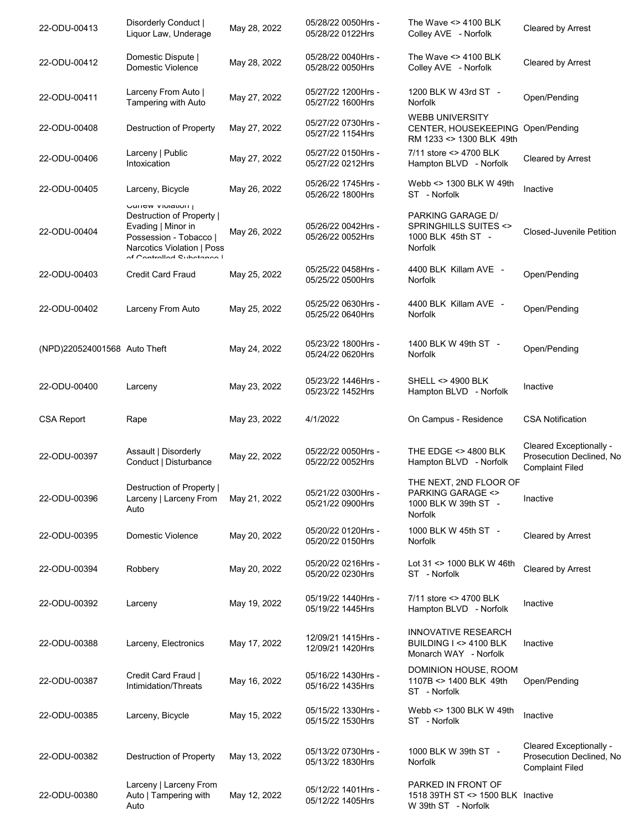| 22-ODU-00413                 | Disorderly Conduct  <br>Liquor Law, Underage                                                                                                               | May 28, 2022 | 05/28/22 0050Hrs -<br>05/28/22 0122Hrs | The Wave $\leq$ 4100 BLK<br>Colley AVE - Norfolk                                            | Cleared by Arrest                                                             |
|------------------------------|------------------------------------------------------------------------------------------------------------------------------------------------------------|--------------|----------------------------------------|---------------------------------------------------------------------------------------------|-------------------------------------------------------------------------------|
| 22-ODU-00412                 | Domestic Dispute  <br>Domestic Violence                                                                                                                    | May 28, 2022 | 05/28/22 0040Hrs -<br>05/28/22 0050Hrs | The Wave <> 4100 BLK<br>Colley AVE - Norfolk                                                | <b>Cleared by Arrest</b>                                                      |
| 22-ODU-00411                 | Larceny From Auto  <br>Tampering with Auto                                                                                                                 | May 27, 2022 | 05/27/22 1200Hrs -<br>05/27/22 1600Hrs | 1200 BLK W 43rd ST -<br>Norfolk                                                             | Open/Pending                                                                  |
| 22-ODU-00408                 | Destruction of Property                                                                                                                                    | May 27, 2022 | 05/27/22 0730Hrs -<br>05/27/22 1154Hrs | <b>WEBB UNIVERSITY</b><br>CENTER, HOUSEKEEPING Open/Pending<br>RM 1233 <> 1300 BLK 49th     |                                                                               |
| 22-ODU-00406                 | Larceny   Public<br>Intoxication                                                                                                                           | May 27, 2022 | 05/27/22 0150Hrs -<br>05/27/22 0212Hrs | 7/11 store <> 4700 BLK<br>Hampton BLVD - Norfolk                                            | Cleared by Arrest                                                             |
| 22-ODU-00405                 | Larceny, Bicycle                                                                                                                                           | May 26, 2022 | 05/26/22 1745Hrs -<br>05/26/22 1800Hrs | Webb <> 1300 BLK W 49th<br>ST - Norfolk                                                     | Inactive                                                                      |
| 22-ODU-00404                 | UUIICW VIUIAUUII  <br>Destruction of Property  <br>Evading   Minor in<br>Possession - Tobacco  <br>Narcotics Violation   Poss<br>of Controlled Cubetanee I | May 26, 2022 | 05/26/22 0042Hrs -<br>05/26/22 0052Hrs | PARKING GARAGE D/<br>SPRINGHILLS SUITES <><br>1000 BLK 45th ST -<br>Norfolk                 | Closed-Juvenile Petition                                                      |
| 22-ODU-00403                 | <b>Credit Card Fraud</b>                                                                                                                                   | May 25, 2022 | 05/25/22 0458Hrs -<br>05/25/22 0500Hrs | 4400 BLK Killam AVE -<br>Norfolk                                                            | Open/Pending                                                                  |
| 22-ODU-00402                 | Larceny From Auto                                                                                                                                          | May 25, 2022 | 05/25/22 0630Hrs -<br>05/25/22 0640Hrs | 4400 BLK Killam AVE -<br><b>Norfolk</b>                                                     | Open/Pending                                                                  |
| (NPD)220524001568 Auto Theft |                                                                                                                                                            | May 24, 2022 | 05/23/22 1800Hrs -<br>05/24/22 0620Hrs | 1400 BLK W 49th ST -<br><b>Norfolk</b>                                                      | Open/Pending                                                                  |
| 22-ODU-00400                 | Larceny                                                                                                                                                    | May 23, 2022 | 05/23/22 1446Hrs -<br>05/23/22 1452Hrs | SHELL <> 4900 BLK<br>Hampton BLVD - Norfolk                                                 | Inactive                                                                      |
| <b>CSA Report</b>            | Rape                                                                                                                                                       | May 23, 2022 | 4/1/2022                               | On Campus - Residence                                                                       | <b>CSA Notification</b>                                                       |
| 22-ODU-00397                 | Assault   Disorderly<br>Conduct   Disturbance                                                                                                              | May 22, 2022 | 05/22/22 0050Hrs -<br>05/22/22 0052Hrs | THE EDGE <> 4800 BLK<br>Hampton BLVD - Norfolk                                              | Cleared Exceptionally -<br>Prosecution Declined, No<br><b>Complaint Filed</b> |
| 22-ODU-00396                 | Destruction of Property  <br>Larceny   Larceny From<br>Auto                                                                                                | May 21, 2022 | 05/21/22 0300Hrs -<br>05/21/22 0900Hrs | THE NEXT. 2ND FLOOR OF<br><b>PARKING GARAGE &lt;&gt;</b><br>1000 BLK W 39th ST -<br>Norfolk | Inactive                                                                      |
| 22-ODU-00395                 | Domestic Violence                                                                                                                                          | May 20, 2022 | 05/20/22 0120Hrs -<br>05/20/22 0150Hrs | 1000 BLK W 45th ST -<br>Norfolk                                                             | Cleared by Arrest                                                             |
| 22-ODU-00394                 | Robbery                                                                                                                                                    | May 20, 2022 | 05/20/22 0216Hrs -<br>05/20/22 0230Hrs | Lot 31 <> 1000 BLK W 46th<br>ST - Norfolk                                                   | <b>Cleared by Arrest</b>                                                      |
| 22-ODU-00392                 | Larceny                                                                                                                                                    | May 19, 2022 | 05/19/22 1440Hrs -<br>05/19/22 1445Hrs | 7/11 store <> 4700 BLK<br>Hampton BLVD - Norfolk                                            | Inactive                                                                      |
| 22-ODU-00388                 | Larceny, Electronics                                                                                                                                       | May 17, 2022 | 12/09/21 1415Hrs -<br>12/09/21 1420Hrs | <b>INNOVATIVE RESEARCH</b><br>BUILDING I <> 4100 BLK<br>Monarch WAY - Norfolk               | Inactive                                                                      |
| 22-ODU-00387                 | Credit Card Fraud  <br>Intimidation/Threats                                                                                                                | May 16, 2022 | 05/16/22 1430Hrs -<br>05/16/22 1435Hrs | DOMINION HOUSE, ROOM<br>1107B <> 1400 BLK 49th<br>ST - Norfolk                              | Open/Pending                                                                  |
| 22-ODU-00385                 | Larceny, Bicycle                                                                                                                                           | May 15, 2022 | 05/15/22 1330Hrs -<br>05/15/22 1530Hrs | Webb <> 1300 BLK W 49th<br>ST - Norfolk                                                     | Inactive                                                                      |
| 22-ODU-00382                 | Destruction of Property                                                                                                                                    | May 13, 2022 | 05/13/22 0730Hrs -<br>05/13/22 1830Hrs | 1000 BLK W 39th ST -<br>Norfolk                                                             | Cleared Exceptionally -<br>Prosecution Declined, No<br><b>Complaint Filed</b> |
| 22-ODU-00380                 | Larceny   Larceny From<br>Auto   Tampering with<br>Auto                                                                                                    | May 12, 2022 | 05/12/22 1401Hrs -<br>05/12/22 1405Hrs | PARKED IN FRONT OF<br>1518 39TH ST <> 1500 BLK Inactive<br>W 39th ST - Norfolk              |                                                                               |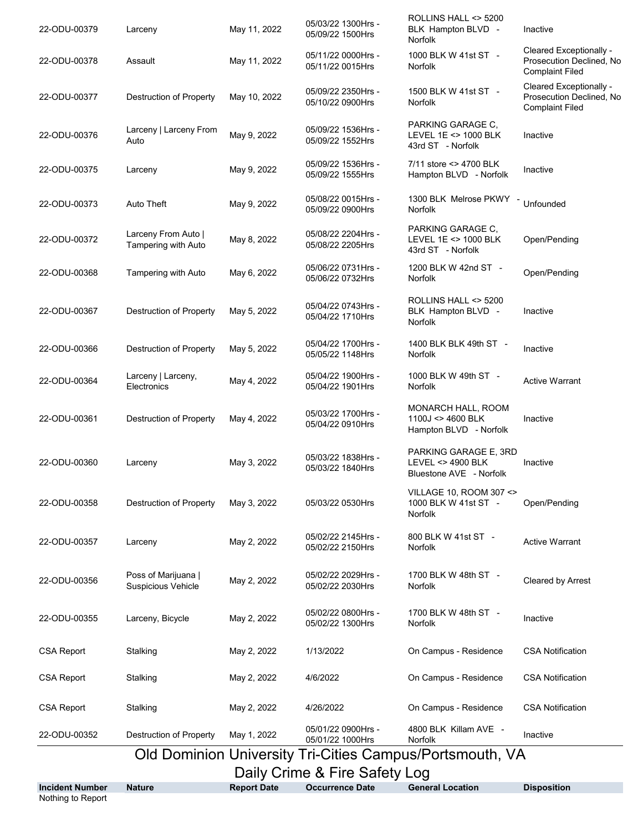| <b>Incident Number</b>                                   | <b>Nature</b>                                     | <b>Report Date</b> | <b>Occurrence Date</b>                 | <b>General Location</b>                                               | <b>Disposition</b>                                                            |
|----------------------------------------------------------|---------------------------------------------------|--------------------|----------------------------------------|-----------------------------------------------------------------------|-------------------------------------------------------------------------------|
| Daily Crime & Fire Safety Log                            |                                                   |                    |                                        |                                                                       |                                                                               |
| Old Dominion University Tri-Cities Campus/Portsmouth, VA |                                                   |                    |                                        |                                                                       |                                                                               |
| 22-ODU-00352                                             | Destruction of Property                           | May 1, 2022        | 05/01/22 0900Hrs -<br>05/01/22 1000Hrs | 4800 BLK Killam AVE -<br>Norfolk                                      | Inactive                                                                      |
| <b>CSA Report</b>                                        | Stalking                                          | May 2, 2022        | 4/26/2022                              | On Campus - Residence                                                 | <b>CSA Notification</b>                                                       |
| <b>CSA Report</b>                                        | Stalking                                          | May 2, 2022        | 4/6/2022                               | On Campus - Residence                                                 | <b>CSA Notification</b>                                                       |
| <b>CSA Report</b>                                        | Stalking                                          | May 2, 2022        | 1/13/2022                              | On Campus - Residence                                                 | <b>CSA Notification</b>                                                       |
| 22-ODU-00355                                             | Larceny, Bicycle                                  | May 2, 2022        | 05/02/22 0800Hrs -<br>05/02/22 1300Hrs | 1700 BLK W 48th ST -<br>Norfolk                                       | Inactive                                                                      |
| 22-ODU-00356                                             | Poss of Marijuana  <br><b>Suspicious Vehicle</b>  | May 2, 2022        | 05/02/22 2029Hrs -<br>05/02/22 2030Hrs | 1700 BLK W 48th ST -<br><b>Norfolk</b>                                | <b>Cleared by Arrest</b>                                                      |
| 22-ODU-00357                                             | Larceny                                           | May 2, 2022        | 05/02/22 2145Hrs -<br>05/02/22 2150Hrs | 800 BLK W 41st ST -<br>Norfolk                                        | <b>Active Warrant</b>                                                         |
| 22-ODU-00358                                             | Destruction of Property                           | May 3, 2022        | 05/03/22 0530Hrs                       | VILLAGE 10, ROOM 307 <><br>1000 BLK W 41st ST -<br><b>Norfolk</b>     | Open/Pending                                                                  |
| 22-ODU-00360                                             | Larceny                                           | May 3, 2022        | 05/03/22 1838Hrs -<br>05/03/22 1840Hrs | PARKING GARAGE E, 3RD<br>LEVEL <> 4900 BLK<br>Bluestone AVE - Norfolk | Inactive                                                                      |
| 22-ODU-00361                                             | Destruction of Property                           | May 4, 2022        | 05/03/22 1700Hrs -<br>05/04/22 0910Hrs | MONARCH HALL, ROOM<br>1100J <> 4600 BLK<br>Hampton BLVD - Norfolk     | Inactive                                                                      |
| 22-ODU-00364                                             | Larceny   Larceny,<br>Electronics                 | May 4, 2022        | 05/04/22 1900Hrs -<br>05/04/22 1901Hrs | 1000 BLK W 49th ST -<br><b>Norfolk</b>                                | <b>Active Warrant</b>                                                         |
| 22-ODU-00366                                             | <b>Destruction of Property</b>                    | May 5, 2022        | 05/04/22 1700Hrs -<br>05/05/22 1148Hrs | 1400 BLK BLK 49th ST -<br>Norfolk                                     | Inactive                                                                      |
| 22-ODU-00367                                             | Destruction of Property                           | May 5, 2022        | 05/04/22 0743Hrs -<br>05/04/22 1710Hrs | ROLLINS HALL <> 5200<br>BLK Hampton BLVD -<br><b>Norfolk</b>          | Inactive                                                                      |
| 22-ODU-00368                                             | Tampering with Auto                               | May 6, 2022        | 05/06/22 0731Hrs -<br>05/06/22 0732Hrs | 1200 BLK W 42nd ST -<br>Norfolk                                       | Open/Pending                                                                  |
| 22-ODU-00372                                             | Larceny From Auto  <br><b>Tampering with Auto</b> | May 8, 2022        | 05/08/22 2204Hrs -<br>05/08/22 2205Hrs | PARKING GARAGE C,<br>LEVEL 1E <> 1000 BLK<br>43rd ST - Norfolk        | Open/Pending                                                                  |
| 22-ODU-00373                                             | Auto Theft                                        | May 9, 2022        | 05/08/22 0015Hrs -<br>05/09/22 0900Hrs | 1300 BLK Melrose PKWY -<br><b>Norfolk</b>                             | Unfounded                                                                     |
| 22-ODU-00375                                             | Larceny                                           | May 9, 2022        | 05/09/22 1536Hrs -<br>05/09/22 1555Hrs | 7/11 store <> 4700 BLK<br>Hampton BLVD - Norfolk                      | Inactive                                                                      |
| 22-ODU-00376                                             | Larceny   Larceny From<br>Auto                    | May 9, 2022        | 05/09/22 1536Hrs -<br>05/09/22 1552Hrs | PARKING GARAGE C.<br>LEVEL 1E <> 1000 BLK<br>43rd ST - Norfolk        | Inactive                                                                      |
| 22-ODU-00377                                             | Destruction of Property                           | May 10, 2022       | 05/09/22 2350Hrs -<br>05/10/22 0900Hrs | 1500 BLK W 41st ST -<br><b>Norfolk</b>                                | Cleared Exceptionally -<br>Prosecution Declined, No<br><b>Complaint Filed</b> |
| 22-ODU-00378                                             | Assault                                           | May 11, 2022       | 05/11/22 0000Hrs -<br>05/11/22 0015Hrs | Norfolk<br>1000 BLK W 41st ST -<br>Norfolk                            | Cleared Exceptionally -<br>Prosecution Declined, No<br><b>Complaint Filed</b> |
| 22-ODU-00379                                             | Larceny                                           | May 11, 2022       | 05/03/22 1300Hrs -<br>05/09/22 1500Hrs | ROLLINS HALL <> 5200<br>BLK Hampton BLVD -                            | Inactive                                                                      |